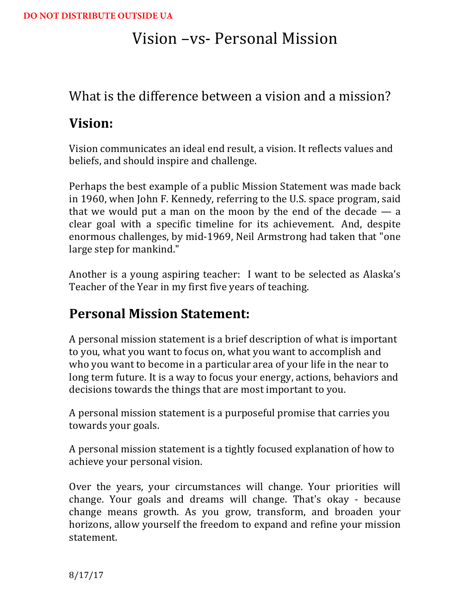# Vision –vs- Personal Mission

### What is the difference between a vision and a mission?

## **Vision:**

Vision communicates an ideal end result, a vision. It reflects values and beliefs, and should inspire and challenge.

Perhaps the best example of a public Mission Statement was made back in 1960, when John F. Kennedy, referring to the U.S. space program, said that we would put a man on the moon by the end of the decade  $-$  a clear goal with a specific timeline for its achievement. And, despite enormous challenges, by mid-1969, Neil Armstrong had taken that "one" large step for mankind."

Another is a young aspiring teacher: I want to be selected as Alaska's Teacher of the Year in my first five years of teaching.

## Personal Mission Statement:

A personal mission statement is a brief description of what is important to you, what you want to focus on, what you want to accomplish and who you want to become in a particular area of your life in the near to long term future. It is a way to focus your energy, actions, behaviors and decisions towards the things that are most important to you.

A personal mission statement is a purposeful promise that carries you towards your goals.

A personal mission statement is a tightly focused explanation of how to achieve your personal vision.

Over the years, your circumstances will change. Your priorities will change. Your goals and dreams will change. That's okay - because change means growth. As you grow, transform, and broaden your horizons, allow yourself the freedom to expand and refine your mission statement.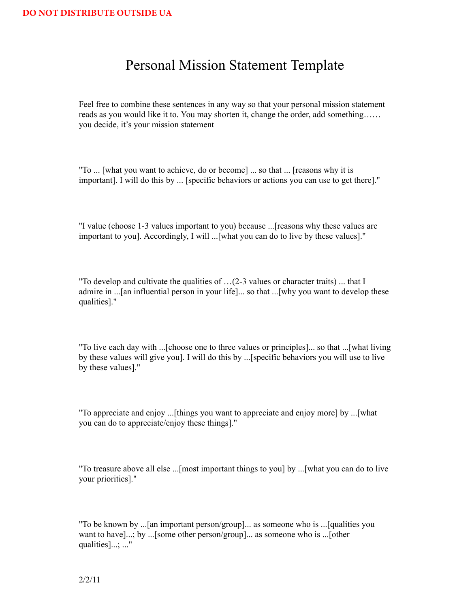### Personal Mission Statement Template

Feel free to combine these sentences in any way so that your personal mission statement reads as you would like it to. You may shorten it, change the order, add something…… you decide, it's your mission statement

"To ... [what you want to achieve, do or become] ... so that ... [reasons why it is important]. I will do this by ... [specific behaviors or actions you can use to get there]."

"I value (choose 1-3 values important to you) because ...[reasons why these values are important to you]. Accordingly, I will ...[what you can do to live by these values]."

"To develop and cultivate the qualities of …(2-3 values or character traits) ... that I admire in ...[an influential person in your life]... so that ...[why you want to develop these qualities]."

"To live each day with ...[choose one to three values or principles]... so that ...[what living by these values will give you]. I will do this by ...[specific behaviors you will use to live by these values]."

"To appreciate and enjoy ...[things you want to appreciate and enjoy more] by ...[what you can do to appreciate/enjoy these things]."

"To treasure above all else ...[most important things to you] by ...[what you can do to live your priorities]."

"To be known by ...[an important person/group]... as someone who is ...[qualities you want to have]...; by ...[some other person/group]... as someone who is ...[other qualities]...; ..."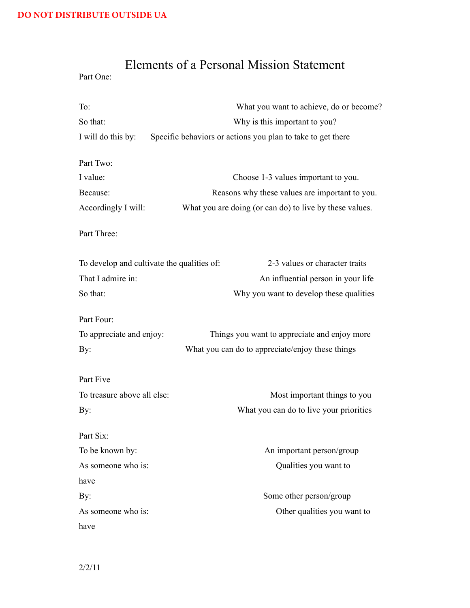## Elements of a Personal Mission Statement

Part One:

| To:                                        | What you want to achieve, do or become?                     |
|--------------------------------------------|-------------------------------------------------------------|
| So that:                                   | Why is this important to you?                               |
| I will do this by:                         | Specific behaviors or actions you plan to take to get there |
| Part Two:                                  |                                                             |
| I value:                                   | Choose 1-3 values important to you.                         |
| Because:                                   | Reasons why these values are important to you.              |
| Accordingly I will:                        | What you are doing (or can do) to live by these values.     |
| Part Three:                                |                                                             |
| To develop and cultivate the qualities of: | 2-3 values or character traits                              |
| That I admire in:                          | An influential person in your life                          |
| So that:                                   | Why you want to develop these qualities                     |
| Part Four:                                 |                                                             |
| To appreciate and enjoy:                   | Things you want to appreciate and enjoy more                |
| By:                                        | What you can do to appreciate/enjoy these things            |
| Part Five                                  |                                                             |
| To treasure above all else:                | Most important things to you                                |
| By:                                        | What you can do to live your priorities                     |
| Part Six:                                  |                                                             |
| To be known by:                            | An important person/group                                   |
| As someone who is:                         | Qualities you want to                                       |
| have                                       |                                                             |
| By:                                        | Some other person/group                                     |
| As someone who is:                         | Other qualities you want to                                 |
| have                                       |                                                             |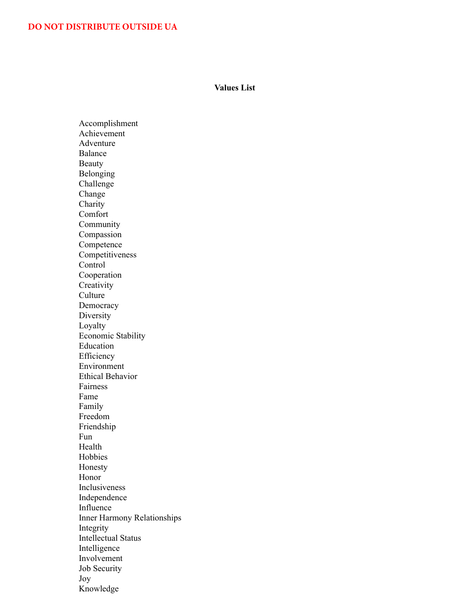#### **Values List**

Accomplishment Achievement Adventure Balance Beauty Belonging Challenge Change Charity Comfort Community Compassion Competence Competitiveness Control Cooperation **Creativity** Culture Democracy Diversity Loyalty Economic Stability Education Efficiency Environment Ethical Behavior Fairness Fame Family Freedom Friendship Fun Health Hobbies Honesty Honor Inclusiveness Independence Influence Inner Harmony Relationships Integrity Intellectual Status Intelligence Involvement Job Security Joy Knowledge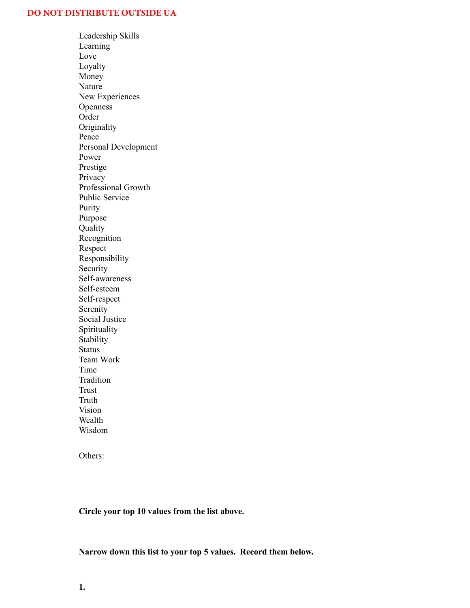Leadership Skills Learning Love Loyalty Money Nature New Experiences **Openness** Order **Originality** Peace Personal Development Power Prestige Privacy Professional Growth Public Service Purity Purpose Quality Recognition Respect Responsibility Security Self-awareness Self-esteem Self-respect Serenity Social Justice Spirituality **Stability** Status Team Work Time Tradition Trust Truth Vision Wealth Wisdom

Others:

**Circle your top 10 values from the list above.**

#### **Narrow down this list to your top 5 values. Record them below.**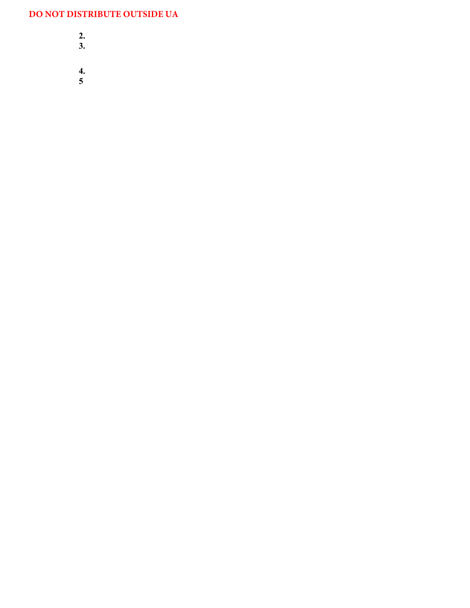- **2.**
- **3.**
- 
- **4.**
- **5**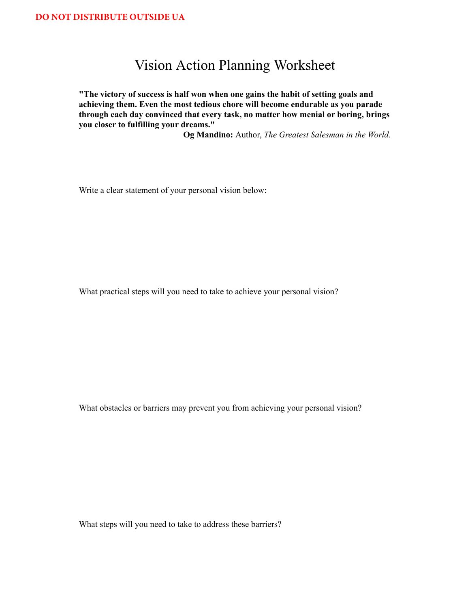### Vision Action Planning Worksheet

**"The victory of success is half won when one gains the habit of setting goals and achieving them. Even the most tedious chore will become endurable as you parade through each day convinced that every task, no matter how menial or boring, brings you closer to fulfilling your dreams."** 

**Og Mandino:** Author, *The Greatest Salesman in the World*.

Write a clear statement of your personal vision below:

What practical steps will you need to take to achieve your personal vision?

What obstacles or barriers may prevent you from achieving your personal vision?

What steps will you need to take to address these barriers?